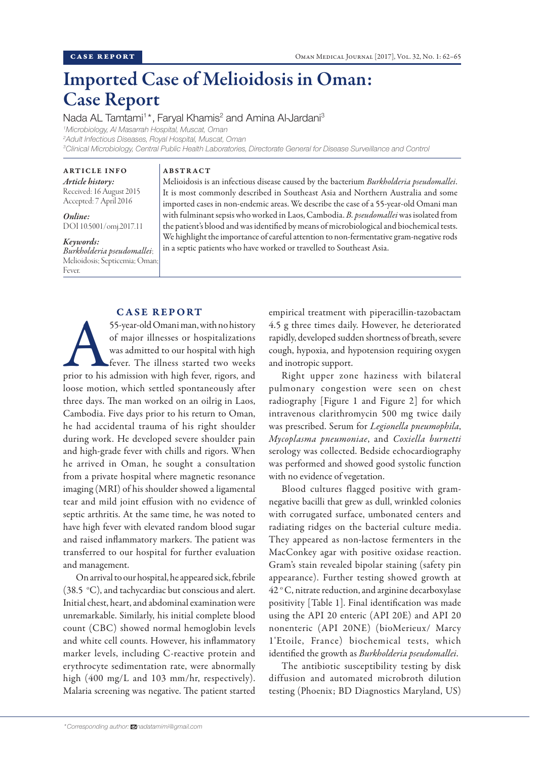# Imported Case of Melioidosis in Oman: Case Report

Nada AL Tamtami<sup>1\*</sup>, Faryal Khamis<sup>2</sup> and Amina Al-Jardani<sup>3</sup>

*1 Microbiology, Al Masarrah Hospital, Muscat, Oman 2 Adult Infectious Diseases, Royal Hospital, Muscat, Oman 3 Clinical Microbiology, Central Public Health Laboratories, Directorate General for Disease Surveillance and Control*

ARTICLE INFO *Article history:* Received: 16 August 2015 Accepted: 7 April 2016

*Online:* DOI 10.5001/omj.2017.11

*Keywords: Burkholderia pseudomallei*; Melioidosis; Septicemia; Oman; Fever.

## ABSTRACT

Melioidosis is an infectious disease caused by the bacterium *Burkholderia pseudomallei*. It is most commonly described in Southeast Asia and Northern Australia and some imported cases in non-endemic areas. We describe the case of a 55-year-old Omani man with fulminant sepsis who worked in Laos, Cambodia. *B. pseudomallei* was isolated from the patient's blood and was identified by means of microbiological and biochemical tests. We highlight the importance of careful attention to non-fermentative gram-negative rods in a septic patients who have worked or travelled to Southeast Asia.

# CASE REPORT

55-year-old Omani man, with no history<br>of major illnesses or hospitalizations<br>was admitted to our hospital with high<br>fever. The illness started two weeks<br>prior to his admission with high fever, rigors, and of major illnesses or hospitalizations was admitted to our hospital with high fever. The illness started two weeks loose motion, which settled spontaneously after three days. The man worked on an oilrig in Laos, Cambodia. Five days prior to his return to Oman, he had accidental trauma of his right shoulder during work. He developed severe shoulder pain and high-grade fever with chills and rigors. When he arrived in Oman, he sought a consultation from a private hospital where magnetic resonance imaging (MRI) of his shoulder showed a ligamental tear and mild joint effusion with no evidence of septic arthritis. At the same time, he was noted to have high fever with elevated random blood sugar and raised inflammatory markers. The patient was transferred to our hospital for further evaluation and management.

On arrival to our hospital, he appeared sick, febrile (38.5  $\degree$ C), and tachycardiac but conscious and alert. Initial chest, heart, and abdominal examination were unremarkable. Similarly, his initial complete blood count (CBC) showed normal hemoglobin levels and white cell counts. However, his inflammatory marker levels, including C-reactive protein and erythrocyte sedimentation rate, were abnormally high (400 mg/L and 103 mm/hr, respectively). Malaria screening was negative. The patient started

empirical treatment with piperacillin-tazobactam 4.5 g three times daily. However, he deteriorated rapidly, developed sudden shortness of breath, severe cough, hypoxia, and hypotension requiring oxygen and inotropic support.

Right upper zone haziness with bilateral pulmonary congestion were seen on chest radiography [Figure 1 and Figure 2] for which intravenous clarithromycin 500 mg twice daily was prescribed. Serum for *Legionella pneumophila*, *Mycoplasma pneumoniae*, and *Coxiella burnetti* serology was collected. Bedside echocardiography was performed and showed good systolic function with no evidence of vegetation.

Blood cultures flagged positive with gramnegative bacilli that grew as dull, wrinkled colonies with corrugated surface, umbonated centers and radiating ridges on the bacterial culture media. They appeared as non-lactose fermenters in the MacConkey agar with positive oxidase reaction. Gram's stain revealed bipolar staining (safety pin appearance). Further testing showed growth at 42 ° C, nitrate reduction, and arginine decarboxylase positivity [Table 1]. Final identification was made using the API 20 enteric (API 20E) and API 20 nonenteric (API 20NE) (bioMerieux/ Marcy 1'Etoile, France) biochemical tests, which identified the growth as *Burkholderia pseudomallei*.

The antibiotic susceptibility testing by disk diffusion and automated microbroth dilution testing (Phoenix; BD Diagnostics Maryland, US)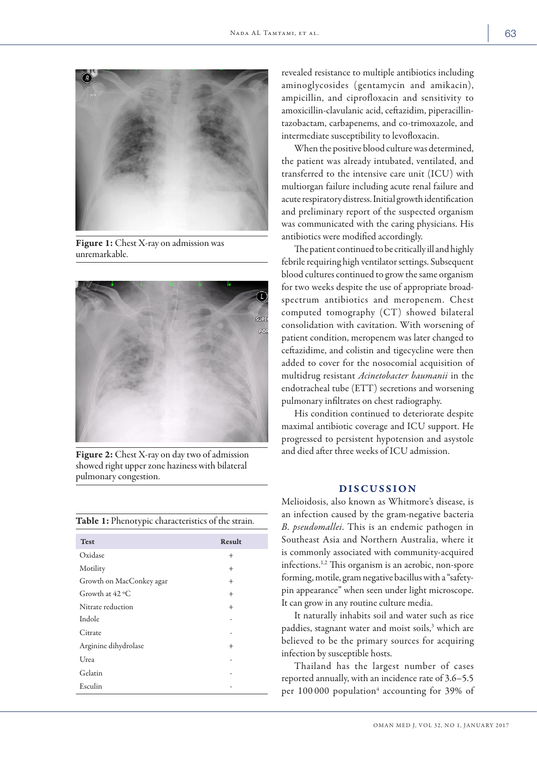

Figure 1: Chest X-ray on admission was unremarkable.



Figure 2: Chest X-ray on day two of admission showed right upper zone haziness with bilateral pulmonary congestion.

|  | <b>Table 1:</b> Phenotypic characteristics of the strain. |  |
|--|-----------------------------------------------------------|--|
|  |                                                           |  |

| <b>Test</b>              | Result |
|--------------------------|--------|
| Oxidase                  | $^+$   |
| Motility                 | $^+$   |
| Growth on MacConkey agar | $^{+}$ |
| Growth at $42 °C$        | $\pm$  |
| Nitrate reduction        | $^{+}$ |
| Indole                   | ٠      |
| Citrate                  |        |
| Arginine dihydrolase     | $^{+}$ |
| Urea                     |        |
| Gelatin                  |        |
| Esculin                  |        |
|                          |        |

revealed resistance to multiple antibiotics including aminoglycosides (gentamycin and amikacin), ampicillin, and ciprofloxacin and sensitivity to amoxicillin-clavulanic acid, ceftazidim, piperacillintazobactam, carbapenems, and co-trimoxazole, and intermediate susceptibility to levofloxacin.

When the positive blood culture was determined, the patient was already intubated, ventilated, and transferred to the intensive care unit (ICU) with multiorgan failure including acute renal failure and acute respiratory distress. Initial growth identification and preliminary report of the suspected organism was communicated with the caring physicians. His antibiotics were modified accordingly.

The patient continued to be critically ill and highly febrile requiring high ventilator settings. Subsequent blood cultures continued to grow the same organism for two weeks despite the use of appropriate broadspectrum antibiotics and meropenem. Chest computed tomography (CT) showed bilateral consolidation with cavitation. With worsening of patient condition, meropenem was later changed to ceftazidime, and colistin and tigecycline were then added to cover for the nosocomial acquisition of multidrug resistant *Acinetobacter baumanii* in the endotracheal tube (ETT) secretions and worsening pulmonary infiltrates on chest radiography.

His condition continued to deteriorate despite maximal antibiotic coverage and ICU support. He progressed to persistent hypotension and asystole and died after three weeks of ICU admission.

# DISCUSSION

Melioidosis, also known as Whitmore's disease, is an infection caused by the gram-negative bacteria *B. pseudomallei*. This is an endemic pathogen in Southeast Asia and Northern Australia, where it is commonly associated with community-acquired infections.1,2 This organism is an aerobic, non-spore forming, motile, gram negative bacillus with a "safetypin appearance" when seen under light microscope. It can grow in any routine culture media.

It naturally inhabits soil and water such as rice paddies, stagnant water and moist soils,<sup>3</sup> which are believed to be the primary sources for acquiring infection by susceptible hosts.

Thailand has the largest number of cases reported annually, with an incidence rate of 3.6–5.5 per 100 000 population<sup>4</sup> accounting for 39% of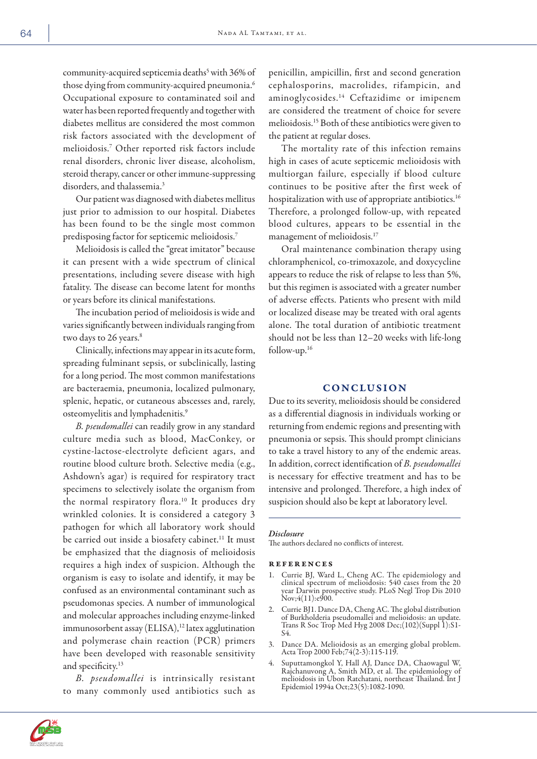community-acquired septicemia deaths<sup>5</sup> with 36% of those dying from community-acquired pneumonia.<sup>6</sup> Occupational exposure to contaminated soil and water has been reported frequently and together with diabetes mellitus are considered the most common risk factors associated with the development of melioidosis.7 Other reported risk factors include renal disorders, chronic liver disease, alcoholism, steroid therapy, cancer or other immune-suppressing disorders, and thalassemia.<sup>3</sup>

Our patient was diagnosed with diabetes mellitus just prior to admission to our hospital. Diabetes has been found to be the single most common predisposing factor for septicemic melioidosis.7

Melioidosis is called the "great imitator" because it can present with a wide spectrum of clinical presentations, including severe disease with high fatality. The disease can become latent for months or years before its clinical manifestations.

The incubation period of melioidosis is wide and varies significantly between individuals ranging from two days to 26 years.<sup>8</sup>

Clinically, infections may appear in its acute form, spreading fulminant sepsis, or subclinically, lasting for a long period. The most common manifestations are bacteraemia, pneumonia, localized pulmonary, splenic, hepatic, or cutaneous abscesses and, rarely, osteomyelitis and lymphadenitis.9

*B. pseudomallei* can readily grow in any standard culture media such as blood, MacConkey, or cystine-lactose-electrolyte deficient agars, and routine blood culture broth. Selective media (e.g., Ashdown's agar) is required for respiratory tract specimens to selectively isolate the organism from the normal respiratory flora.<sup>10</sup> It produces dry wrinkled colonies. It is considered a category 3 pathogen for which all laboratory work should be carried out inside a biosafety cabinet.<sup>11</sup> It must be emphasized that the diagnosis of melioidosis requires a high index of suspicion. Although the organism is easy to isolate and identify, it may be confused as an environmental contaminant such as pseudomonas species. A number of immunological and molecular approaches including enzyme-linked immunosorbent assay (ELISA),<sup>12</sup> latex agglutination and polymerase chain reaction (PCR) primers have been developed with reasonable sensitivity and specificity.<sup>13</sup>

*B. pseudomallei* is intrinsically resistant to many commonly used antibiotics such as

penicillin, ampicillin, first and second generation cephalosporins, macrolides, rifampicin, and aminoglycosides.14 Ceftazidime or imipenem are considered the treatment of choice for severe melioidosis.15 Both of these antibiotics were given to the patient at regular doses.

The mortality rate of this infection remains high in cases of acute septicemic melioidosis with multiorgan failure, especially if blood culture continues to be positive after the first week of hospitalization with use of appropriate antibiotics.<sup>16</sup> Therefore, a prolonged follow-up, with repeated blood cultures, appears to be essential in the management of melioidosis.17

Oral maintenance combination therapy using chloramphenicol, co-trimoxazole, and doxycycline appears to reduce the risk of relapse to less than 5%, but this regimen is associated with a greater number of adverse effects. Patients who present with mild or localized disease may be treated with oral agents alone. The total duration of antibiotic treatment should not be less than 12–20 weeks with life-long follow-up.16

### CONCLUSION

Due to its severity, melioidosis should be considered as a differential diagnosis in individuals working or returning from endemic regions and presenting with pneumonia or sepsis. This should prompt clinicians to take a travel history to any of the endemic areas. In addition, correct identification of *B. pseudomallei* is necessary for effective treatment and has to be intensive and prolonged. Therefore, a high index of suspicion should also be kept at laboratory level.

#### *Disclosure*

The authors declared no conflicts of interest.

#### **REFERENCES**

- 1. Currie BJ, Ward L, Cheng AC. The epidemiology and clinical spectrum of melioidosis: 540 cases from the 20 year Darwin prospective study. PLoS Negl Trop Dis 2010 Nov;  $4(11)$ :  $e\overline{9}00$ .
- 2. Currie BJ1. Dance DA, Cheng AC. The global distribution of Burkholderia pseudomallei and melioidosis: an update. Trans R Soc Trop Med Hyg 2008 Dec;(102)(Suppl 1):S1- S4.
- 3. Dance DA. Melioidosis as an emerging global problem. Acta Trop 2000 Feb;74(2-3):115-119.
- 4. Suputtamongkol Y, Hall AJ, Dance DA, Chaowagul W, Rajchanuvong A, Smith MD, et al. The epidemiology of melioidosis in Ubon Ratchatani, northeast Thailand. Int J Epidemiol 1994a Oct;23(5):1082-1090.